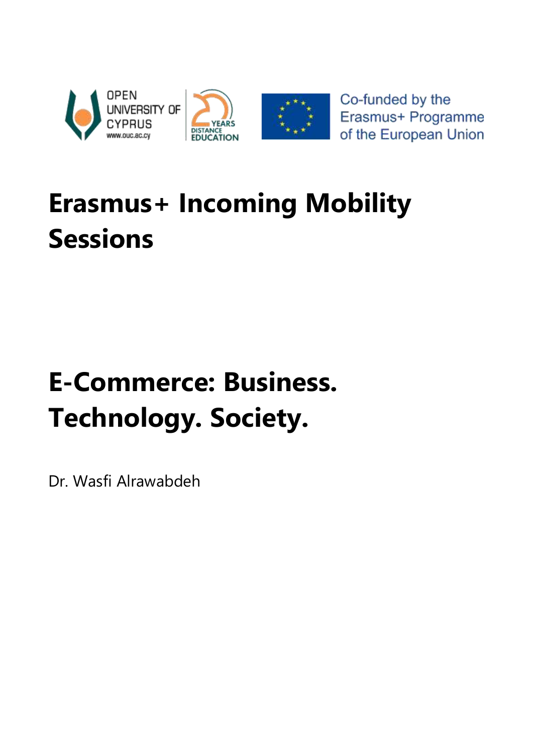

# **Erasmus+ Incoming Mobility Sessions**

# **E-Commerce: Business. Technology. Society.**

Dr. Wasfi Alrawabdeh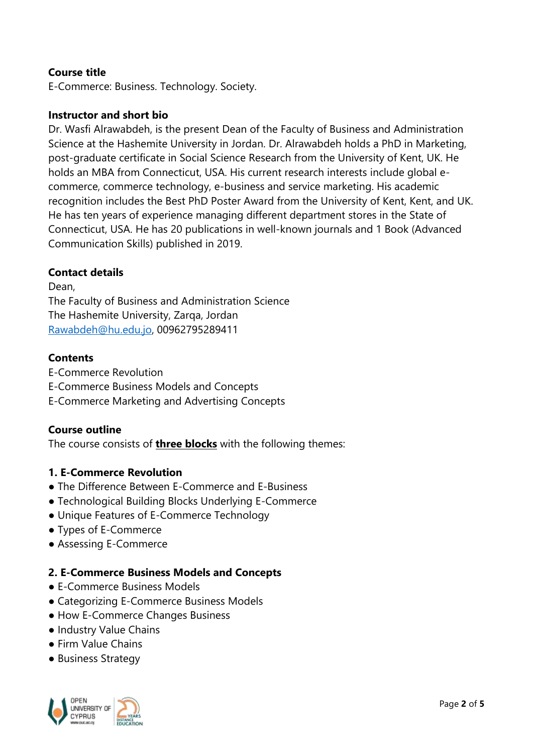# **Course title**

E-Commerce: Business. Technology. Society.

# **Instructor and short bio**

Dr. Wasfi Alrawabdeh, is the present Dean of the Faculty of Business and Administration Science at the Hashemite University in Jordan. Dr. Alrawabdeh holds a PhD in Marketing, post-graduate certificate in Social Science Research from the University of Kent, UK. He holds an MBA from Connecticut, USA. His current research interests include global ecommerce, commerce technology, e-business and service marketing. His academic recognition includes the Best PhD Poster Award from the University of Kent, Kent, and UK. He has ten years of experience managing different department stores in the State of Connecticut, USA. He has 20 publications in well-known journals and 1 Book (Advanced Communication Skills) published in 2019.

# **Contact details**

Dean,

The Faculty of Business and Administration Science The Hashemite University, Zarqa, Jordan [Rawabdeh@hu.edu.jo,](mailto:Rawabdeh@hu.edu.jo) 00962795289411

# **Contents**

E-Commerce Revolution E-Commerce Business Models and Concepts E-Commerce Marketing and Advertising Concepts

#### **Course outline**

The course consists of **three blocks** with the following themes:

#### **1. E-Commerce Revolution**

- The Difference Between E-Commerce and E-Business
- Technological Building Blocks Underlying E-Commerce
- Unique Features of E-Commerce Technology
- Types of E-Commerce
- Assessing E-Commerce

# **2. E-Commerce Business Models and Concepts**

- E-Commerce Business Models
- Categorizing E-Commerce Business Models
- How E-Commerce Changes Business
- Industry Value Chains
- Firm Value Chains
- Business Strategy

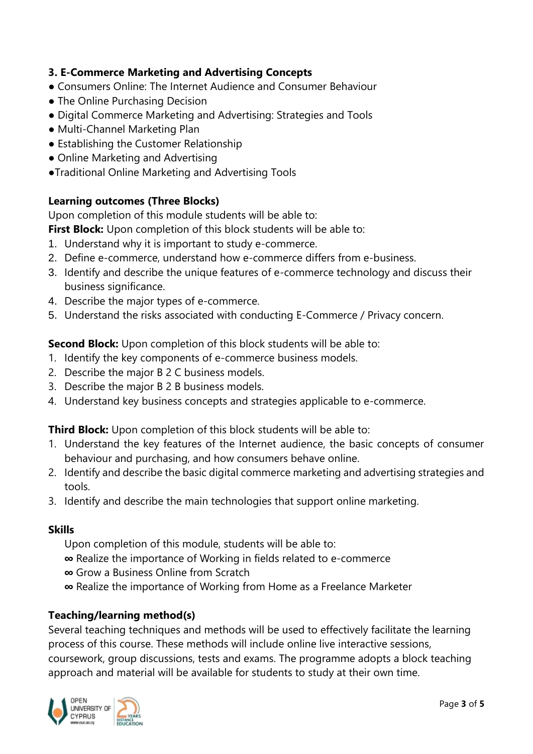# **3. E-Commerce Marketing and Advertising Concepts**

- Consumers Online: The Internet Audience and Consumer Behaviour
- The Online Purchasing Decision
- Digital Commerce Marketing and Advertising: Strategies and Tools
- Multi-Channel Marketing Plan
- Establishing the Customer Relationship
- Online Marketing and Advertising
- ●Traditional Online Marketing and Advertising Tools

# **Learning outcomes (Three Blocks)**

Upon completion of this module students will be able to:

**First Block:** Upon completion of this block students will be able to:

- 1. Understand why it is important to study e-commerce.
- 2. Define e-commerce, understand how e-commerce differs from e-business.
- 3. Identify and describe the unique features of e-commerce technology and discuss their business significance.
- 4. Describe the major types of e-commerce.
- 5. Understand the risks associated with conducting E-Commerce / Privacy concern.

**Second Block:** Upon completion of this block students will be able to:

- 1. Identify the key components of e-commerce business models.
- 2. Describe the major B 2 C business models.
- 3. Describe the major B 2 B business models.
- 4. Understand key business concepts and strategies applicable to e-commerce.

**Third Block:** Upon completion of this block students will be able to:

- 1. Understand the key features of the Internet audience, the basic concepts of consumer behaviour and purchasing, and how consumers behave online.
- 2. Identify and describe the basic digital commerce marketing and advertising strategies and tools.
- 3. Identify and describe the main technologies that support online marketing.

# **Skills**

- Upon completion of this module, students will be able to:
- **∞** Realize the importance of Working in fields related to e-commerce
- **∞** Grow a Business Online from Scratch
- **∞** Realize the importance of Working from Home as a Freelance Marketer

# **Teaching/learning method(s)**

Several teaching techniques and methods will be used to effectively facilitate the learning process of this course. These methods will include online live interactive sessions, coursework, group discussions, tests and exams. The programme adopts a block teaching approach and material will be available for students to study at their own time.

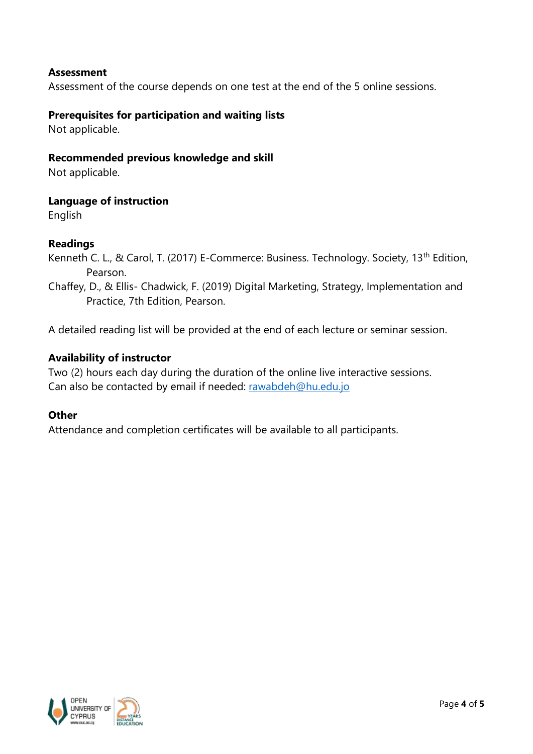#### **Assessment**

Assessment of the course depends on one test at the end of the 5 online sessions.

#### **Prerequisites for participation and waiting lists**

Not applicable.

#### **Recommended previous knowledge and skill**

Not applicable.

#### **Language of instruction**

English

# **Readings**

Kenneth C. L., & Carol, T. (2017) E-Commerce: Business. Technology. Society, 13<sup>th</sup> Edition, Pearson.

Chaffey, D., & Ellis- Chadwick, F. (2019) Digital Marketing, Strategy, Implementation and Practice, 7th Edition, Pearson.

A detailed reading list will be provided at the end of each lecture or seminar session.

# **Availability of instructor**

Two (2) hours each day during the duration of the online live interactive sessions. Can also be contacted by email if needed: [rawabdeh@hu.edu.jo](mailto:rawabdeh@hu.edu.jo)

#### **Other**

Attendance and completion certificates will be available to all participants.